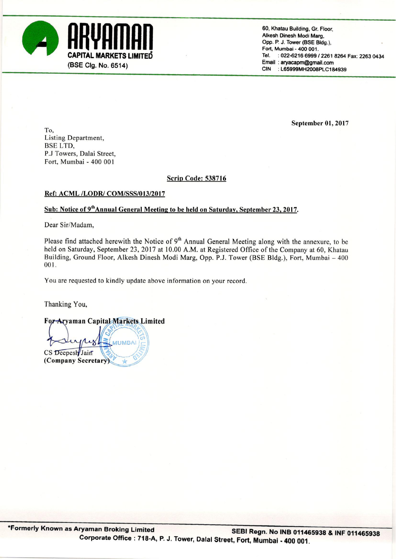

60, Khatau Building, Gr. Floor. Alkesh Dinesh Modi Marg. Opp. P. J. Tower (BSE Bldg.), Fort, Mumbai - 400 001. : 022-6216 6999 / 2261 8264 Fax: 2263 0434 Tel. Email: aryacapm@gmail.com CIN : L65999MH2008PLC184939

September 01, 2017

To, Listing Department, **BSE LTD.** P.J Towers, Dalai Street, Fort, Mumbai - 400 001

## **Scrip Code: 538716**

## Ref: ACML /LODR/ COM/SSS/013/2017

# Sub: Notice of 9<sup>th</sup> Annual General Meeting to be held on Saturday, September 23, 2017.

Dear Sir/Madam.

Please find attached herewith the Notice of 9<sup>th</sup> Annual General Meeting along with the annexure, to be held on Saturday, September 23, 2017 at 10.00 A.M. at Registered Office of the Company at 60, Khatau Building, Ground Floor, Alkesh Dinesh Modi Marg, Opp. P.J. Tower (BSE Bldg.), Fort, Mumbai - 400 001.

You are requested to kindly update above information on your record.

Thanking You,

For Aryaman Capital Markets Limited

**ALIMBA** CS Deepesh Jain (Company Secretary)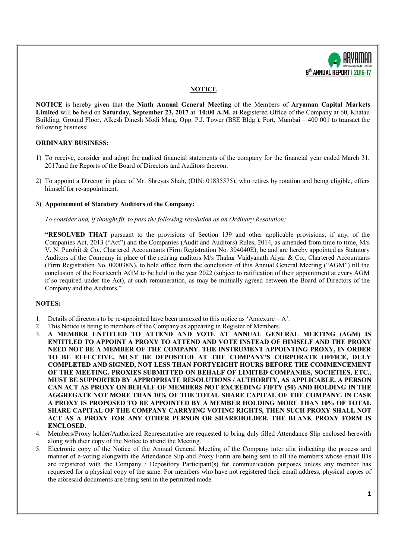

## **NOTICE**

**NOTICE** is hereby given that the **Ninth Annual General Meeting** of the Members of **Aryaman Capital Markets Limited** will be held on **Saturday, September 23, 2017** at **10:00 A.M.** at Registered Office of the Company at 60, Khatau Building, Ground Floor, Alkesh Dinesh Modi Marg, Opp. P.J. Tower (BSE Bldg.), Fort, Mumbai – 400 001 to transact the following business:

### **ORDINARY BUSINESS:**

- 1) To receive, consider and adopt the audited financial statements of the company for the financial year ended March 31, 2017and the Reports of the Board of Directors and Auditors thereon.
- 2) To appoint a Director in place of Mr. Shreyas Shah, (DIN: 01835575), who retires by rotation and being eligible, offers himself for re-appointment.

#### **3) Appointment of Statutory Auditors of the Company:**

*To consider and, if thought fit, to pass the following resolution as an Ordinary Resolution:*

**"RESOLVED THAT** pursuant to the provisions of Section 139 and other applicable provisions, if any, of the Companies Act, 2013 ("Act") and the Companies (Audit and Auditors) Rules, 2014, as amended from time to time, M/s V. N. Purohit & Co., Chartered Accountants (Firm Registration No. 304040E), be and are hereby appointed as Statutory Auditors of the Company in place of the retiring auditors M/s Thakur Vaidyanath Aiyar & Co., Chartered Accountants (Firm Registration No. 000038N), to hold office from the conclusion of this Annual General Meeting ("AGM") till the conclusion of the Fourteenth AGM to be held in the year 2022 (subject to ratification of their appointment at every AGM if so required under the Act), at such remuneration, as may be mutually agreed between the Board of Directors of the Company and the Auditors."

### **NOTES:**

- 1. Details of directors to be re-appointed have been annexed to this notice as 'Annexure  $A$ '.
- 2. This Notice is being to members of the Company as appearing in Register of Members.
- 3. **A MEMBER ENTITLED TO ATTEND AND VOTE AT ANNUAL GENERAL MEETING (AGM) IS ENTITLED TO APPOINT A PROXY TO ATTEND AND VOTE INSTEAD OF HIMSELF AND THE PROXY NEED NOT BE A MEMBER OF THE COMPANY. THE INSTRUMENT APPOINTING PROXY, IN ORDER TO BE EFFECTIVE, MUST BE DEPOSITED AT THE COMPANY'S CORPORATE OFFICE, DULY COMPLETED AND SIGNED, NOT LESS THAN FORTYEIGHT HOURS BEFORE THE COMMENCEMENT OF THE MEETING. PROXIES SUBMITTED ON BEHALF OF LIMITED COMPANIES, SOCIETIES, ETC., MUST BE SUPPORTED BY APPROPRIATE RESOLUTIONS / AUTHORITY, AS APPLICABLE. A PERSON CAN ACT AS PROXY ON BEHALF OF MEMBERS NOT EXCEEDING FIFTY (50) AND HOLDING IN THE AGGREGATE NOT MORE THAN 10% OF THE TOTAL SHARE CAPITAL OF THE COMPANY. IN CASE A PROXY IS PROPOSED TO BE APPOINTED BY A MEMBER HOLDING MORE THAN 10% OF TOTAL SHARE CAPITAL OF THE COMPANY CARRYING VOTING RIGHTS, THEN SUCH PROXY SHALL NOT ACT AS A PROXY FOR ANY OTHER PERSON OR SHAREHOLDER. THE BLANK PROXY FORM IS ENCLOSED.**
- 4. Members/Proxy holder/Authorized Representative are requested to bring duly filled Attendance Slip enclosed herewith along with their copy of the Notice to attend the Meeting.
- 5. Electronic copy of the Notice of the Annual General Meeting of the Company inter alia indicating the process and manner of e-voting alongwith the Attendance Slip and Proxy Form are being sent to all the members whose email IDs are registered with the Company / Depository Participant(s) for communication purposes unless any member has requested for a physical copy of the same. For members who have not registered their email address, physical copies of the aforesaid documents are being sent in the permitted mode.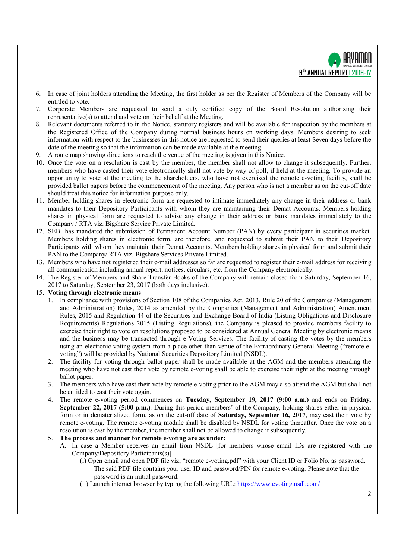

- 6. In case of joint holders attending the Meeting, the first holder as per the Register of Members of the Company will be entitled to vote.
- 7. Corporate Members are requested to send a duly certified copy of the Board Resolution authorizing their representative(s) to attend and vote on their behalf at the Meeting.
- 8. Relevant documents referred to in the Notice, statutory registers and will be available for inspection by the members at the Registered Office of the Company during normal business hours on working days. Members desiring to seek information with respect to the businesses in this notice are requested to send their queries at least Seven days before the date of the meeting so that the information can be made available at the meeting.
- 9. A route map showing directions to reach the venue of the meeting is given in this Notice.
- 10. Once the vote on a resolution is cast by the member, the member shall not allow to change it subsequently. Further, members who have casted their vote electronically shall not vote by way of poll, if held at the meeting. To provide an opportunity to vote at the meeting to the shareholders, who have not exercised the remote e-voting facility, shall be provided ballot papers before the commencement of the meeting. Any person who is not a member as on the cut-off date should treat this notice for information purpose only.
- 11. Member holding shares in electronic form are requested to intimate immediately any change in their address or bank mandates to their Depository Participants with whom they are maintaining their Demat Accounts. Members holding shares in physical form are requested to advise any change in their address or bank mandates immediately to the Company / RTA viz. Bigshare Service Private Limited.
- 12. SEBI has mandated the submission of Permanent Account Number (PAN) by every participant in securities market. Members holding shares in electronic form, are therefore, and requested to submit their PAN to their Depository Participants with whom they maintain their Demat Accounts. Members holding shares in physical form and submit their PAN to the Company/ RTA viz. Bigshare Services Private Limited.
- 13. Members who have not registered their e-mail addresses so far are requested to register their e-mail address for receiving all communication including annual report, notices, circulars, etc. from the Company electronically.
- 14. The Register of Members and Share Transfer Books of the Company will remain closed from Saturday, September 16, 2017 to Saturday, September 23, 2017 (both days inclusive).

### 15. **Voting through electronic means**

- 1. In compliance with provisions of Section 108 of the Companies Act, 2013, Rule 20 of the Companies (Management and Administration) Rules, 2014 as amended by the Companies (Management and Administration) Amendment Rules, 2015 and Regulation 44 of the Securities and Exchange Board of India (Listing Obligations and Disclosure Requirements) Regulations 2015 (Listing Regulations), the Company is pleased to provide members facility to exercise their right to vote on resolutions proposed to be considered at Annual General Meeting by electronic means and the business may be transacted through e-Voting Services. The facility of casting the votes by the members using an electronic voting system from a place other than venue of the Extraordinary General Meeting ("remote evoting") will be provided by National Securities Depository Limited (NSDL).
- 2. The facility for voting through ballot paper shall be made available at the AGM and the members attending the meeting who have not cast their vote by remote e-voting shall be able to exercise their right at the meeting through ballot paper.
- 3. The members who have cast their vote by remote e-voting prior to the AGM may also attend the AGM but shall not be entitled to cast their vote again.
- 4. The remote e-voting period commences on **Tuesday, September 19, 2017 (9:00 a.m.)** and ends on **Friday, September 22, 2017 (5:00 p.m.)**. During this period members' of the Company, holding shares either in physical form or in dematerialized form, as on the cut-off date of **Saturday, September 16, 2017**, may cast their vote by remote e-voting. The remote e-voting module shall be disabled by NSDL for voting thereafter. Once the vote on a resolution is cast by the member, the member shall not be allowed to change it subsequently.

#### 5. **The process and manner for remote e-voting are as under:**

- A. In case a Member receives an email from NSDL [for members whose email IDs are registered with the Company/Depository Participants(s)] :
	- (i) Open email and open PDF file viz; "remote e-voting.pdf" with your Client ID or Folio No. as password. The said PDF file contains your user ID and password/PIN for remote e-voting. Please note that the password is an initial password.
	- (ii) Launch internet browser by typing the following URL: https://www.evoting.nsdl.com/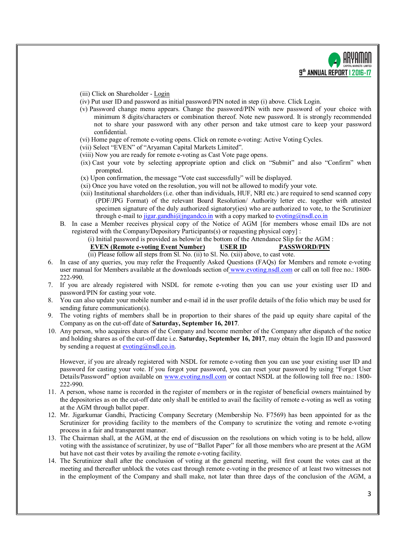

- (iii) Click on Shareholder Login
- (iv) Put user ID and password as initial password/PIN noted in step (i) above. Click Login.
- (v) Password change menu appears. Change the password/PIN with new password of your choice with minimum 8 digits/characters or combination thereof. Note new password. It is strongly recommended not to share your password with any other person and take utmost care to keep your password confidential.
- (vi) Home page of remote e-voting opens. Click on remote e-voting: Active Voting Cycles.
- (vii) Select "EVEN" of "Aryaman Capital Markets Limited".
- (viii) Now you are ready for remote e-voting as Cast Vote page opens.
- (ix) Cast your vote by selecting appropriate option and click on "Submit" and also "Confirm" when prompted.
- (x) Upon confirmation, the message "Vote cast successfully" will be displayed.
- (xi) Once you have voted on the resolution, you will not be allowed to modify your vote.
- (xii) Institutional shareholders (i.e. other than individuals, HUF, NRI etc.) are required to send scanned copy (PDF/JPG Format) of the relevant Board Resolution/ Authority letter etc. together with attested specimen signature of the duly authorized signatory(ies) who are authorized to vote, to the Scrutinizer through e-mail to jigar.gandhi@jngandco.in with a copy marked to evoting@nsdl.co.in
- B. In case a Member receives physical copy of the Notice of AGM [for members whose email IDs are not registered with the Company/Depository Participants(s) or requesting physical copy] :
	- (i) Initial password is provided as below/at the bottom of the Attendance Slip for the AGM :
	- **EVEN (Remote e-voting Event Number) USER ID PASSWORD/PIN**
	- (ii) Please follow all steps from Sl. No. (ii) to Sl. No. (xii) above, to cast vote.
- 6. In case of any queries, you may refer the Frequently Asked Questions (FAQs) for Members and remote e-voting user manual for Members available at the downloads section of www.evoting.nsdl.com or call on toll free no.: 1800- 222-990.
- 7. If you are already registered with NSDL for remote e-voting then you can use your existing user ID and password/PIN for casting your vote.
- 8. You can also update your mobile number and e-mail id in the user profile details of the folio which may be used for sending future communication(s).
- 9. The voting rights of members shall be in proportion to their shares of the paid up equity share capital of the Company as on the cut-off date of **Saturday, September 16, 2017**.
- 10. Any person, who acquires shares of the Company and become member of the Company after dispatch of the notice and holding shares as of the cut-off date i.e. **Saturday, September 16, 2017**, may obtain the login ID and password by sending a request at  $evoting(\partial n)$  nsdl.co.in.

However, if you are already registered with NSDL for remote e-voting then you can use your existing user ID and password for casting your vote. If you forgot your password, you can reset your password by using "Forgot User Details/Password" option available on www.evoting.nsdl.com or contact NSDL at the following toll free no.: 1800- 222-990.

- 11. A person, whose name is recorded in the register of members or in the register of beneficial owners maintained by the depositories as on the cut-off date only shall be entitled to avail the facility of remote e-voting as well as voting at the AGM through ballot paper.
- 12. Mr. Jigarkumar Gandhi, Practicing Company Secretary (Membership No. F7569) has been appointed for as the Scrutinizer for providing facility to the members of the Company to scrutinize the voting and remote e-voting process in a fair and transparent manner.
- 13. The Chairman shall, at the AGM, at the end of discussion on the resolutions on which voting is to be held, allow voting with the assistance of scrutinizer, by use of "Ballot Paper" for all those members who are present at the AGM but have not cast their votes by availing the remote e-voting facility.
- 14. The Scrutinizer shall after the conclusion of voting at the general meeting, will first count the votes cast at the meeting and thereafter unblock the votes cast through remote e-voting in the presence of at least two witnesses not in the employment of the Company and shall make, not later than three days of the conclusion of the AGM, a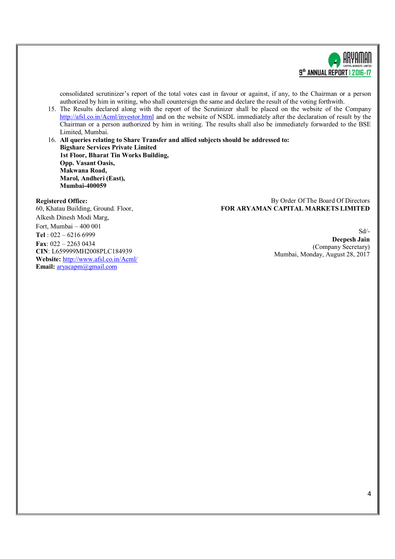

consolidated scrutinizer's report of the total votes cast in favour or against, if any, to the Chairman or a person authorized by him in writing, who shall countersign the same and declare the result of the voting forthwith.

15. The Results declared along with the report of the Scrutinizer shall be placed on the website of the Company http://afsl.co.in/Acml/investor.html and on the website of NSDL immediately after the declaration of result by the Chairman or a person authorized by him in writing. The results shall also be immediately forwarded to the BSE Limited, Mumbai.

16. **All queries relating to Share Transfer and allied subjects should be addressed to: Bigshare Services Private Limited 1st Floor, Bharat Tin Works Building, Opp. Vasant Oasis, Makwana Road, Marol, Andheri (East), Mumbai-400059**

#### **Registered Office:**

By Order Of The Board Of Directors **FOR ARYAMAN CAPITAL MARKETS LIMITED**

60, Khatau Building, Ground. Floor, Alkesh Dinesh Modi Marg, Fort, Mumbai – 400 001 **Tel** : 022 – 6216 6999 **Fax**: 022 – 2263 0434 **CIN**: L659999MH2008PLC184939 **Website:** http://www.afsl.co.in/Acml/ **Email:** aryacapm@gmail.com

Sd/- **Deepesh Jain** (Company Secretary) Mumbai, Monday, August 28, 2017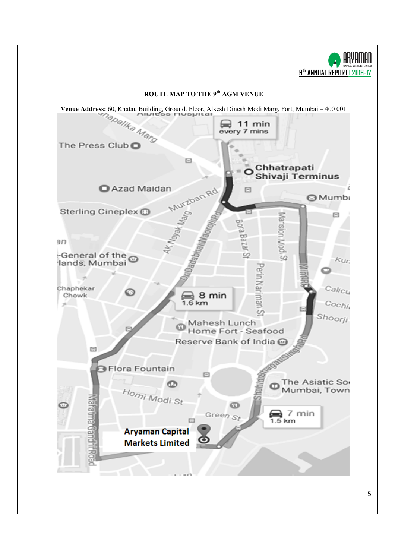